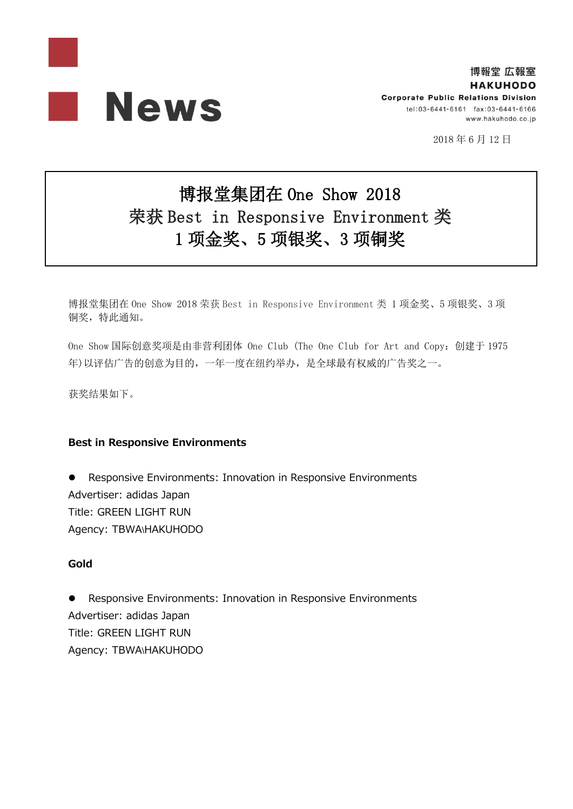

2018 年 6 月 12 日

# 博报堂集团在 One Show 2018 荣获 Best in Responsive Environment 类 1 项金奖、5 项银奖、3 项铜奖

博报堂集团在 One Show 2018 荣获 Best in Responsive Environment 类 1 项金奖、5 项银奖、3 项 铜奖,特此通知。

One Show 国际创意奖项是由非营利团体 One Club (The One Club for Art and Copy:创建于 1975 年)以评估广告的创意为目的,一年一度在纽约举办,是全球最有权威的广告奖之一。

获奖结果如下。

# **Best in Responsive Environments**

 Responsive Environments: Innovation in Responsive Environments Advertiser: adidas Japan Title: GREEN LIGHT RUN Agency: TBWA\HAKUHODO

# **Gold**

 Responsive Environments: Innovation in Responsive Environments Advertiser: adidas Japan Title: GREEN LIGHT RUN Agency: TBWA\HAKUHODO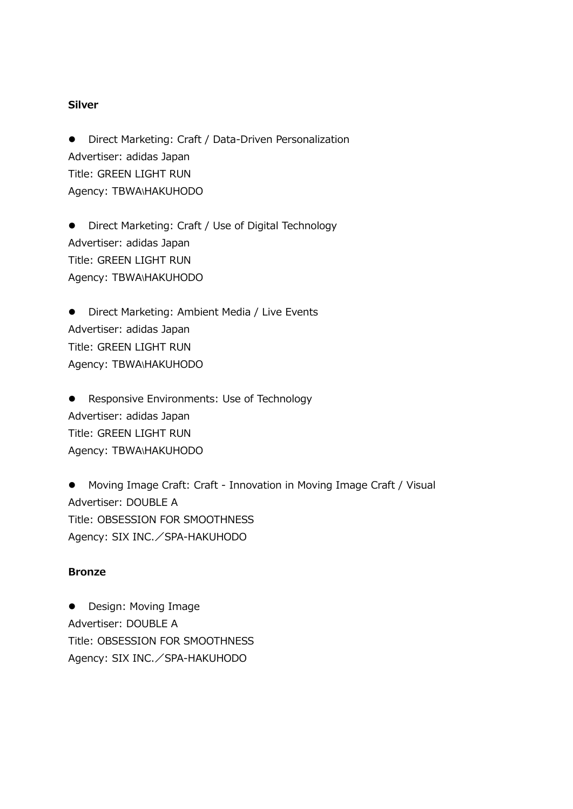#### **Silver**

 Direct Marketing: Craft / Data-Driven Personalization Advertiser: adidas Japan Title: GREEN LIGHT RUN Agency: TBWA\HAKUHODO

 Direct Marketing: Craft / Use of Digital Technology Advertiser: adidas Japan Title: GREEN LIGHT RUN Agency: TBWA\HAKUHODO

**•** Direct Marketing: Ambient Media / Live Events Advertiser: adidas Japan Title: GREEN LIGHT RUN Agency: TBWA\HAKUHODO

**•** Responsive Environments: Use of Technology Advertiser: adidas Japan Title: GREEN LIGHT RUN Agency: TBWA\HAKUHODO

 Moving Image Craft: Craft - Innovation in Moving Image Craft / Visual Advertiser: DOUBLE A Title: OBSESSION FOR SMOOTHNESS Agency: SIX INC./SPA-HAKUHODO

### **Bronze**

• Design: Moving Image Advertiser: DOUBLE A Title: OBSESSION FOR SMOOTHNESS Agency: SIX INC./SPA-HAKUHODO